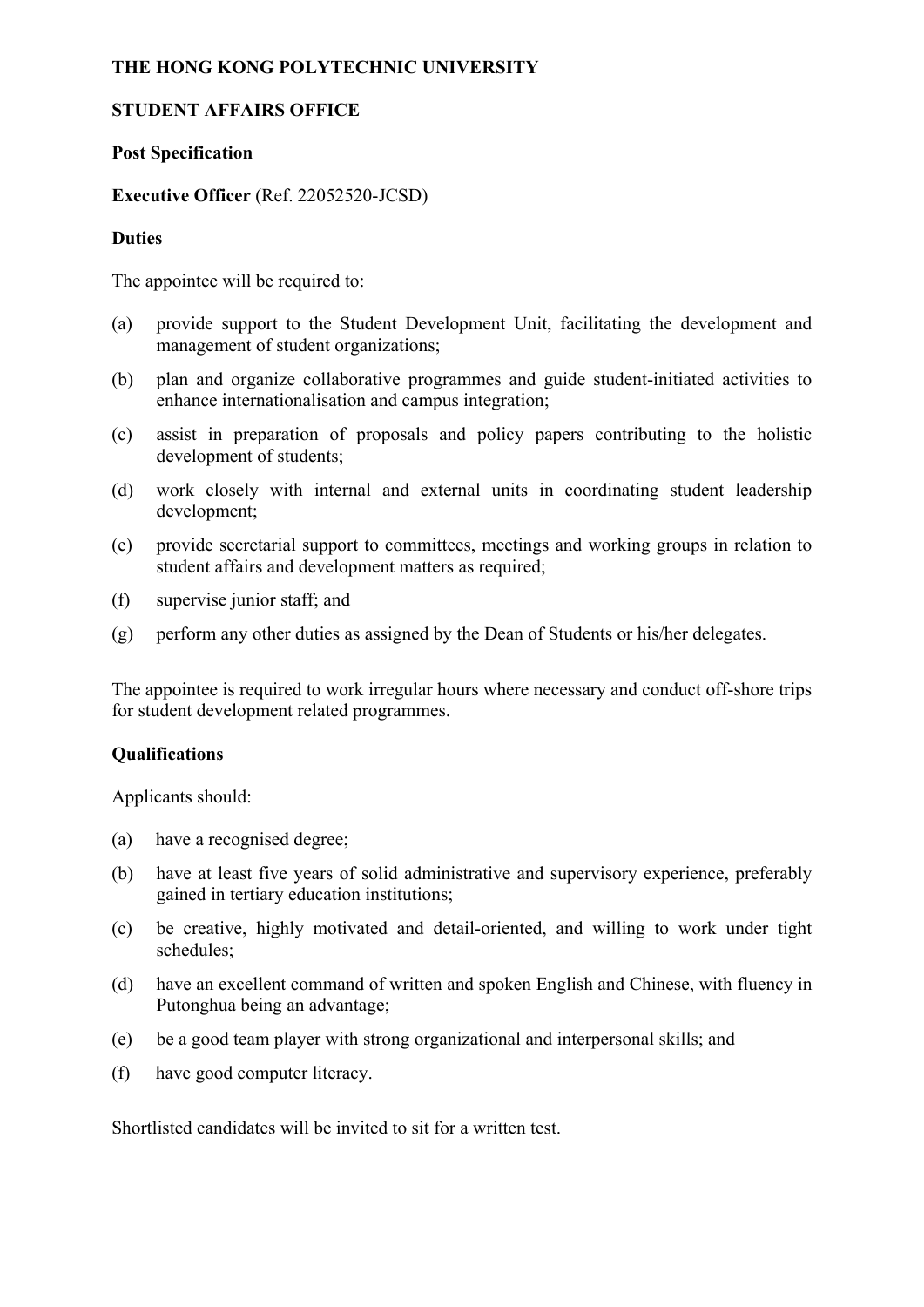# **THE HONG KONG POLYTECHNIC UNIVERSITY**

## **STUDENT AFFAIRS OFFICE**

## **Post Specification**

## **Executive Officer** (Ref. 22052520-JCSD)

### **Duties**

The appointee will be required to:

- (a) provide support to the Student Development Unit, facilitating the development and management of student organizations;
- (b) plan and organize collaborative programmes and guide student-initiated activities to enhance internationalisation and campus integration;
- (c) assist in preparation of proposals and policy papers contributing to the holistic development of students;
- (d) work closely with internal and external units in coordinating student leadership development;
- (e) provide secretarial support to committees, meetings and working groups in relation to student affairs and development matters as required;
- (f) supervise junior staff; and
- (g) perform any other duties as assigned by the Dean of Students or his/her delegates.

The appointee is required to work irregular hours where necessary and conduct off-shore trips for student development related programmes.

#### **Qualifications**

Applicants should:

- (a) have a recognised degree;
- (b) have at least five years of solid administrative and supervisory experience, preferably gained in tertiary education institutions;
- (c) be creative, highly motivated and detail-oriented, and willing to work under tight schedules;
- (d) have an excellent command of written and spoken English and Chinese, with fluency in Putonghua being an advantage;
- (e) be a good team player with strong organizational and interpersonal skills; and
- (f) have good computer literacy.

Shortlisted candidates will be invited to sit for a written test.